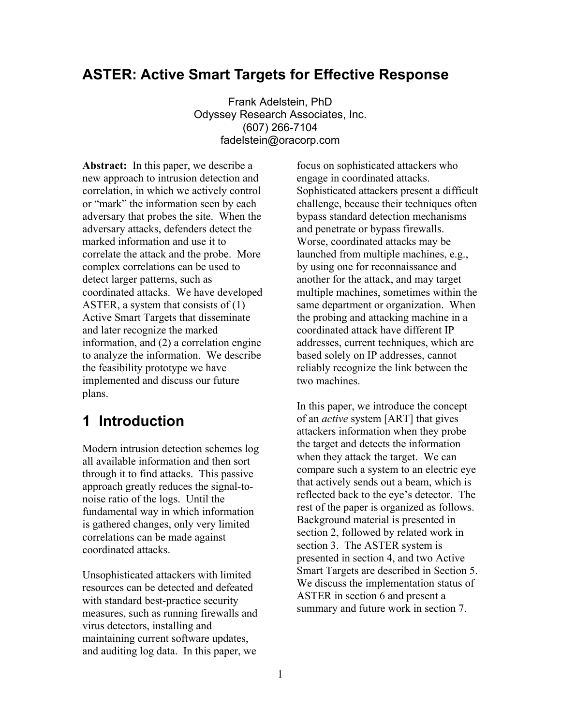# **ASTER: Active Smart Targets for Effective Response**

Frank Adelstein, PhD Odyssey Research Associates, Inc. (607) 266-7104 fadelstein@oracorp.com

**Abstract:** In this paper, we describe a new approach to intrusion detection and correlation, in which we actively control or "mark" the information seen by each adversary that probes the site. When the adversary attacks, defenders detect the marked information and use it to correlate the attack and the probe. More complex correlations can be used to detect larger patterns, such as coordinated attacks. We have developed ASTER, a system that consists of (1) Active Smart Targets that disseminate and later recognize the marked information, and (2) a correlation engine to analyze the information. We describe the feasibility prototype we have implemented and discuss our future plans.

# **1 Introduction**

Modern intrusion detection schemes log all available information and then sort through it to find attacks. This passive approach greatly reduces the signal-tonoise ratio of the logs. Until the fundamental way in which information is gathered changes, only very limited correlations can be made against coordinated attacks.

Unsophisticated attackers with limited resources can be detected and defeated with standard best-practice security measures, such as running firewalls and virus detectors, installing and maintaining current software updates, and auditing log data. In this paper, we

focus on sophisticated attackers who engage in coordinated attacks. Sophisticated attackers present a difficult challenge, because their techniques often bypass standard detection mechanisms and penetrate or bypass firewalls. Worse, coordinated attacks may be launched from multiple machines, e.g., by using one for reconnaissance and another for the attack, and may target multiple machines, sometimes within the same department or organization. When the probing and attacking machine in a coordinated attack have different IP addresses, current techniques, which are based solely on IP addresses, cannot reliably recognize the link between the two machines.

In this paper, we introduce the concept of an *active* system [ART] that gives attackers information when they probe the target and detects the information when they attack the target. We can compare such a system to an electric eye that actively sends out a beam, which is reflected back to the eye's detector. The rest of the paper is organized as follows. Background material is presented in section 2, followed by related work in section 3. The ASTER system is presented in section 4, and two Active Smart Targets are described in Section 5. We discuss the implementation status of ASTER in section 6 and present a summary and future work in section 7.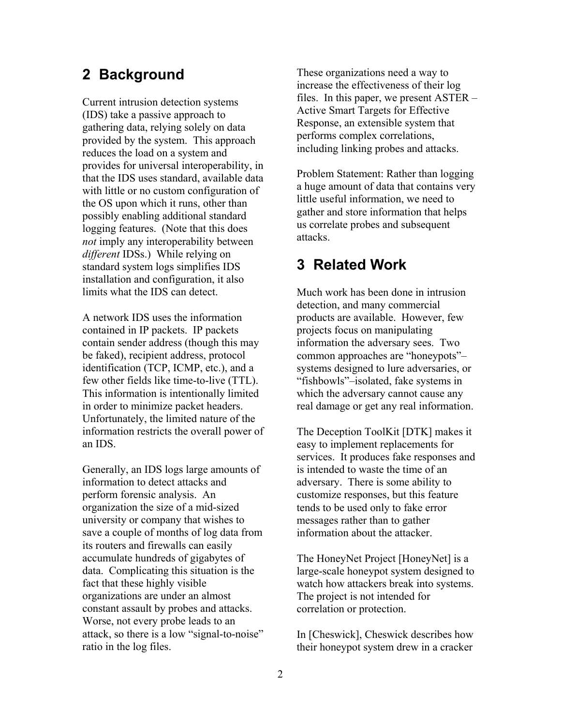Current intrusion detection systems (IDS) take a passive approach to gathering data, relying solely on data provided by the system. This approach reduces the load on a system and provides for universal interoperability, in that the IDS uses standard, available data with little or no custom configuration of the OS upon which it runs, other than possibly enabling additional standard logging features. (Note that this does *not* imply any interoperability between *different* IDSs.) While relying on standard system logs simplifies IDS installation and configuration, it also limits what the IDS can detect.

A network IDS uses the information contained in IP packets. IP packets contain sender address (though this may be faked), recipient address, protocol identification (TCP, ICMP, etc.), and a few other fields like time-to-live (TTL). This information is intentionally limited in order to minimize packet headers. Unfortunately, the limited nature of the information restricts the overall power of an IDS.

Generally, an IDS logs large amounts of information to detect attacks and perform forensic analysis. An organization the size of a mid-sized university or company that wishes to save a couple of months of log data from its routers and firewalls can easily accumulate hundreds of gigabytes of data. Complicating this situation is the fact that these highly visible organizations are under an almost constant assault by probes and attacks. Worse, not every probe leads to an attack, so there is a low "signal-to-noise" ratio in the log files.

**2 Background** These organizations need a way to increase the effectiveness of their log files. In this paper, we present ASTER – Active Smart Targets for Effective Response, an extensible system that performs complex correlations, including linking probes and attacks.

> Problem Statement: Rather than logging a huge amount of data that contains very little useful information, we need to gather and store information that helps us correlate probes and subsequent attacks.

# **3 Related Work**

Much work has been done in intrusion detection, and many commercial products are available. However, few projects focus on manipulating information the adversary sees. Two common approaches are "honeypots"– systems designed to lure adversaries, or "fishbowls"–isolated, fake systems in which the adversary cannot cause any real damage or get any real information.

The Deception ToolKit [DTK] makes it easy to implement replacements for services. It produces fake responses and is intended to waste the time of an adversary. There is some ability to customize responses, but this feature tends to be used only to fake error messages rather than to gather information about the attacker.

The HoneyNet Project [HoneyNet] is a large-scale honeypot system designed to watch how attackers break into systems. The project is not intended for correlation or protection.

In [Cheswick], Cheswick describes how their honeypot system drew in a cracker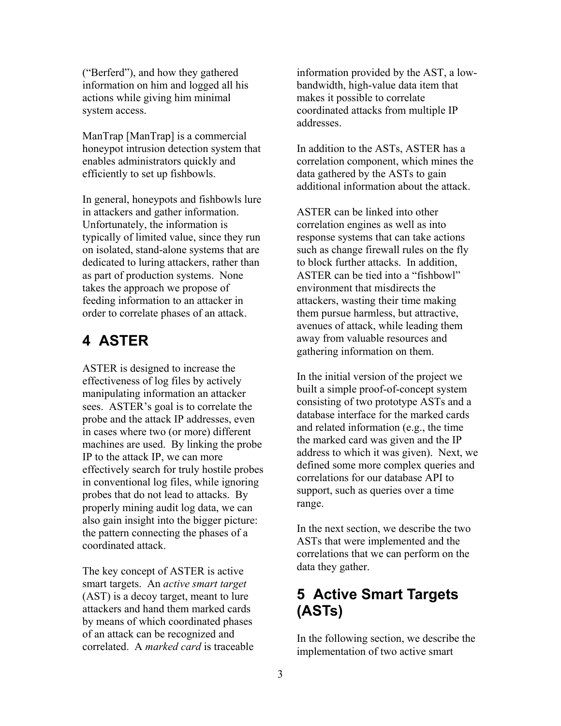("Berferd"), and how they gathered information on him and logged all his actions while giving him minimal system access.

ManTrap [ManTrap] is a commercial honeypot intrusion detection system that enables administrators quickly and efficiently to set up fishbowls.

In general, honeypots and fishbowls lure in attackers and gather information. Unfortunately, the information is typically of limited value, since they run on isolated, stand-alone systems that are dedicated to luring attackers, rather than as part of production systems. None takes the approach we propose of feeding information to an attacker in order to correlate phases of an attack.

# **4 ASTER**

ASTER is designed to increase the effectiveness of log files by actively manipulating information an attacker sees. ASTER's goal is to correlate the probe and the attack IP addresses, even in cases where two (or more) different machines are used. By linking the probe IP to the attack IP, we can more effectively search for truly hostile probes in conventional log files, while ignoring probes that do not lead to attacks. By properly mining audit log data, we can also gain insight into the bigger picture: the pattern connecting the phases of a coordinated attack.

The key concept of ASTER is active smart targets. An *active smart target* (AST) is a decoy target, meant to lure attackers and hand them marked cards by means of which coordinated phases of an attack can be recognized and correlated. A *marked card* is traceable information provided by the AST, a lowbandwidth, high-value data item that makes it possible to correlate coordinated attacks from multiple IP addresses.

In addition to the ASTs, ASTER has a correlation component, which mines the data gathered by the ASTs to gain additional information about the attack.

ASTER can be linked into other correlation engines as well as into response systems that can take actions such as change firewall rules on the fly to block further attacks. In addition, ASTER can be tied into a "fishbowl" environment that misdirects the attackers, wasting their time making them pursue harmless, but attractive, avenues of attack, while leading them away from valuable resources and gathering information on them.

In the initial version of the project we built a simple proof-of-concept system consisting of two prototype ASTs and a database interface for the marked cards and related information (e.g., the time the marked card was given and the IP address to which it was given). Next, we defined some more complex queries and correlations for our database API to support, such as queries over a time range.

In the next section, we describe the two ASTs that were implemented and the correlations that we can perform on the data they gather.

# **5 Active Smart Targets (ASTs)**

In the following section, we describe the implementation of two active smart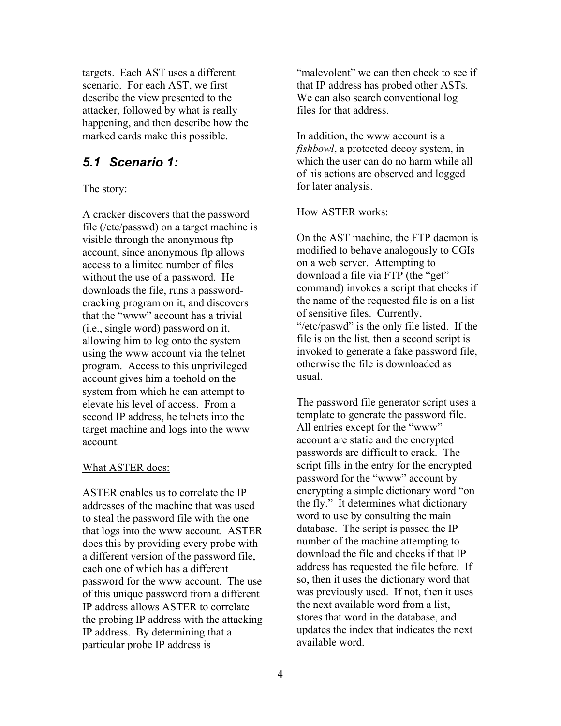targets. Each AST uses a different scenario. For each AST, we first describe the view presented to the attacker, followed by what is really happening, and then describe how the marked cards make this possible.

## *5.1 Scenario 1:*

## The story:

A cracker discovers that the password file (/etc/passwd) on a target machine is visible through the anonymous ftp account, since anonymous ftp allows access to a limited number of files without the use of a password. He downloads the file, runs a passwordcracking program on it, and discovers that the "www" account has a trivial (i.e., single word) password on it, allowing him to log onto the system using the www account via the telnet program. Access to this unprivileged account gives him a toehold on the system from which he can attempt to elevate his level of access. From a second IP address, he telnets into the target machine and logs into the www account.

## What ASTER does:

ASTER enables us to correlate the IP addresses of the machine that was used to steal the password file with the one that logs into the www account. ASTER does this by providing every probe with a different version of the password file, each one of which has a different password for the www account. The use of this unique password from a different IP address allows ASTER to correlate the probing IP address with the attacking IP address. By determining that a particular probe IP address is

"malevolent" we can then check to see if that IP address has probed other ASTs. We can also search conventional log files for that address.

In addition, the www account is a *fishbowl*, a protected decoy system, in which the user can do no harm while all of his actions are observed and logged for later analysis.

## How ASTER works:

On the AST machine, the FTP daemon is modified to behave analogously to CGIs on a web server. Attempting to download a file via FTP (the "get" command) invokes a script that checks if the name of the requested file is on a list of sensitive files. Currently, "/etc/paswd" is the only file listed. If the file is on the list, then a second script is invoked to generate a fake password file, otherwise the file is downloaded as usual.

The password file generator script uses a template to generate the password file. All entries except for the "www" account are static and the encrypted passwords are difficult to crack. The script fills in the entry for the encrypted password for the "www" account by encrypting a simple dictionary word "on the fly." It determines what dictionary word to use by consulting the main database. The script is passed the IP number of the machine attempting to download the file and checks if that IP address has requested the file before. If so, then it uses the dictionary word that was previously used. If not, then it uses the next available word from a list, stores that word in the database, and updates the index that indicates the next available word.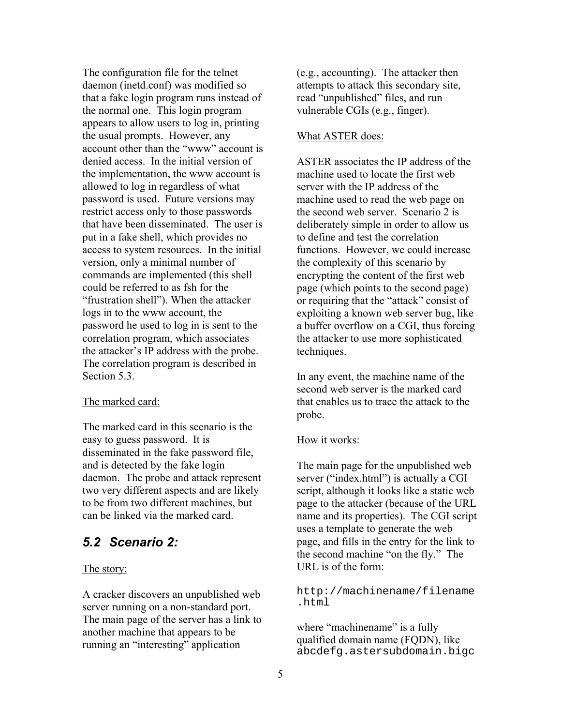The configuration file for the telnet daemon (inetd.conf) was modified so that a fake login program runs instead of the normal one. This login program appears to allow users to log in, printing the usual prompts. However, any account other than the "www" account is denied access. In the initial version of the implementation, the www account is allowed to log in regardless of what password is used. Future versions may restrict access only to those passwords that have been disseminated. The user is put in a fake shell, which provides no access to system resources. In the initial version, only a minimal number of commands are implemented (this shell could be referred to as fsh for the "frustration shell"). When the attacker logs in to the www account, the password he used to log in is sent to the correlation program, which associates the attacker's IP address with the probe. The correlation program is described in Section [5.3.](#page-5-0)

## The marked card:

The marked card in this scenario is the easy to guess password. It is disseminated in the fake password file, and is detected by the fake login daemon. The probe and attack represent two very different aspects and are likely to be from two different machines, but can be linked via the marked card.

## *5.2 Scenario 2:*

## The story:

A cracker discovers an unpublished web server running on a non-standard port. The main page of the server has a link to another machine that appears to be running an "interesting" application

(e.g., accounting). The attacker then attempts to attack this secondary site, read "unpublished" files, and run vulnerable CGIs (e.g., finger).

## What ASTER does:

ASTER associates the IP address of the machine used to locate the first web server with the IP address of the machine used to read the web page on the second web server. Scenario 2 is deliberately simple in order to allow us to define and test the correlation functions. However, we could increase the complexity of this scenario by encrypting the content of the first web page (which points to the second page) or requiring that the "attack" consist of exploiting a known web server bug, like a buffer overflow on a CGI, thus forcing the attacker to use more sophisticated techniques.

In any event, the machine name of the second web server is the marked card that enables us to trace the attack to the probe.

## How it works:

The main page for the unpublished web server ("index.html") is actually a CGI script, although it looks like a static web page to the attacker (because of the URL name and its properties). The CGI script uses a template to generate the web page, and fills in the entry for the link to the second machine "on the fly." The URL is of the form:

[http://machinename/filename](http://machinename/filename.html) [.html](http://machinename/filename.html)

where "machinename" is a fully qualified domain name (FQDN), like abcdefg.astersubdomain.bigc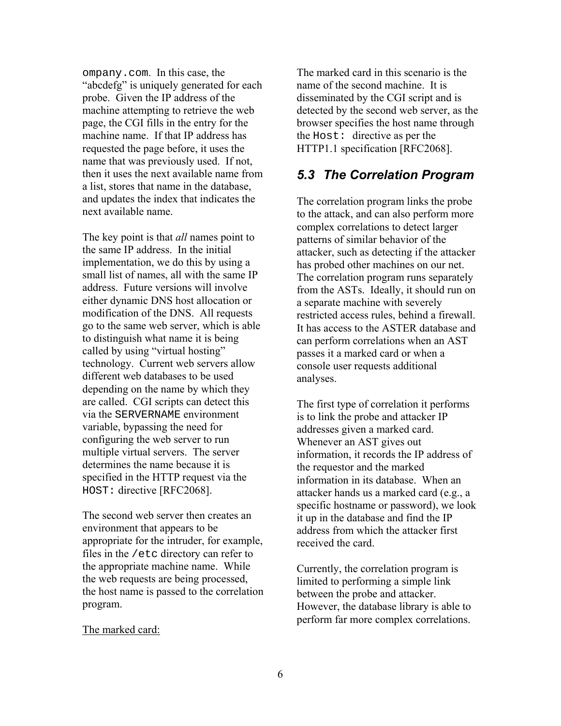ompany.com. In this case, the "abcdefg" is uniquely generated for each probe. Given the IP address of the machine attempting to retrieve the web page, the CGI fills in the entry for the machine name. If that IP address has requested the page before, it uses the name that was previously used. If not, then it uses the next available name from a list, stores that name in the database, and updates the index that indicates the next available name.

The key point is that *all* names point to the same IP address. In the initial implementation, we do this by using a small list of names, all with the same IP address. Future versions will involve either dynamic DNS host allocation or modification of the DNS. All requests go to the same web server, which is able to distinguish what name it is being called by using "virtual hosting" technology. Current web servers allow different web databases to be used depending on the name by which they are called. CGI scripts can detect this via the SERVERNAME environment variable, bypassing the need for configuring the web server to run multiple virtual servers. The server determines the name because it is specified in the HTTP request via the HOST: directive [RFC2068].

The second web server then creates an environment that appears to be appropriate for the intruder, for example, files in the /etc directory can refer to the appropriate machine name. While the web requests are being processed, the host name is passed to the correlation program.

## The marked card:

The marked card in this scenario is the name of the second machine. It is disseminated by the CGI script and is detected by the second web server, as the browser specifies the host name through the Host: directive as per the HTTP1.1 specification [RFC2068].

## <span id="page-5-0"></span>*5.3 The Correlation Program*

The correlation program links the probe to the attack, and can also perform more complex correlations to detect larger patterns of similar behavior of the attacker, such as detecting if the attacker has probed other machines on our net. The correlation program runs separately from the ASTs. Ideally, it should run on a separate machine with severely restricted access rules, behind a firewall. It has access to the ASTER database and can perform correlations when an AST passes it a marked card or when a console user requests additional analyses.

The first type of correlation it performs is to link the probe and attacker IP addresses given a marked card. Whenever an AST gives out information, it records the IP address of the requestor and the marked information in its database. When an attacker hands us a marked card (e.g., a specific hostname or password), we look it up in the database and find the IP address from which the attacker first received the card.

Currently, the correlation program is limited to performing a simple link between the probe and attacker. However, the database library is able to perform far more complex correlations.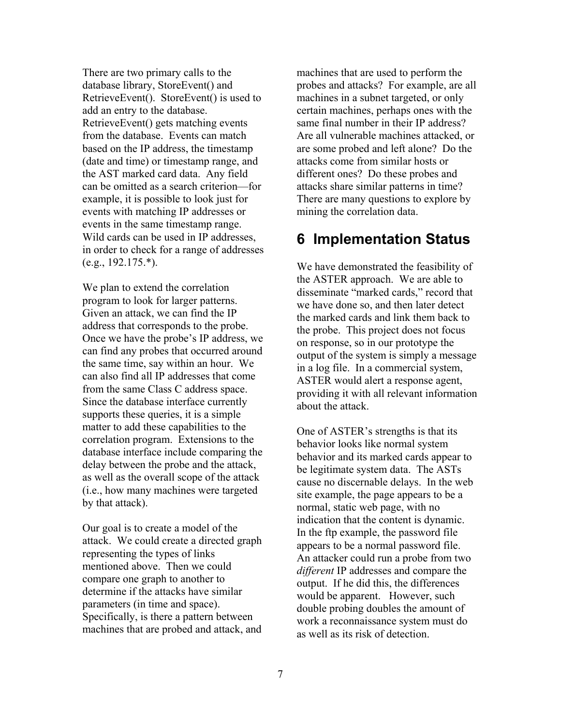There are two primary calls to the database library, StoreEvent() and RetrieveEvent(). StoreEvent() is used to add an entry to the database. RetrieveEvent() gets matching events from the database. Events can match based on the IP address, the timestamp (date and time) or timestamp range, and the AST marked card data. Any field can be omitted as a search criterion—for example, it is possible to look just for events with matching IP addresses or events in the same timestamp range. Wild cards can be used in IP addresses, in order to check for a range of addresses  $(e.g., 192.175.*).$ 

We plan to extend the correlation program to look for larger patterns. Given an attack, we can find the IP address that corresponds to the probe. Once we have the probe's IP address, we can find any probes that occurred around the same time, say within an hour. We can also find all IP addresses that come from the same Class C address space. Since the database interface currently supports these queries, it is a simple matter to add these capabilities to the correlation program. Extensions to the database interface include comparing the delay between the probe and the attack, as well as the overall scope of the attack (i.e., how many machines were targeted by that attack).

Our goal is to create a model of the attack. We could create a directed graph representing the types of links mentioned above. Then we could compare one graph to another to determine if the attacks have similar parameters (in time and space). Specifically, is there a pattern between machines that are probed and attack, and machines that are used to perform the probes and attacks? For example, are all machines in a subnet targeted, or only certain machines, perhaps ones with the same final number in their IP address? Are all vulnerable machines attacked, or are some probed and left alone? Do the attacks come from similar hosts or different ones? Do these probes and attacks share similar patterns in time? There are many questions to explore by mining the correlation data.

# **6 Implementation Status**

We have demonstrated the feasibility of the ASTER approach. We are able to disseminate "marked cards," record that we have done so, and then later detect the marked cards and link them back to the probe. This project does not focus on response, so in our prototype the output of the system is simply a message in a log file. In a commercial system, ASTER would alert a response agent, providing it with all relevant information about the attack.

One of ASTER's strengths is that its behavior looks like normal system behavior and its marked cards appear to be legitimate system data. The ASTs cause no discernable delays. In the web site example, the page appears to be a normal, static web page, with no indication that the content is dynamic. In the ftp example, the password file appears to be a normal password file. An attacker could run a probe from two *different* IP addresses and compare the output. If he did this, the differences would be apparent. However, such double probing doubles the amount of work a reconnaissance system must do as well as its risk of detection.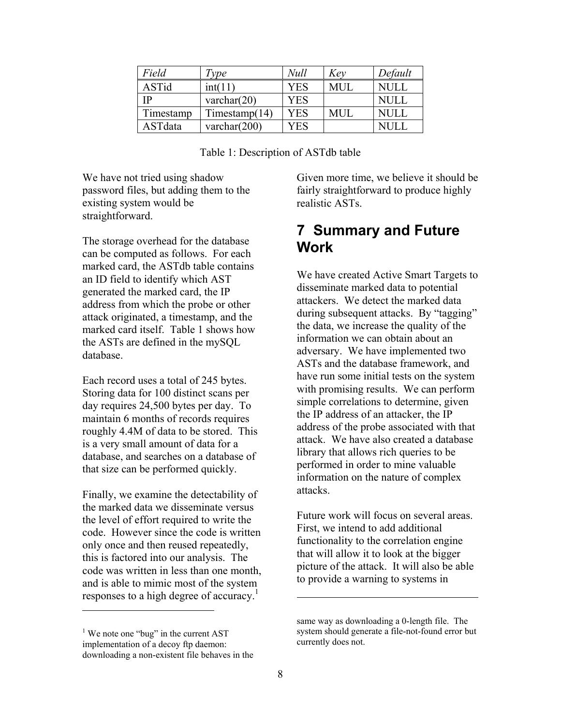| Field     | Type             | Null       | Kev        | Default     |
|-----------|------------------|------------|------------|-------------|
| ASTid     | int(11)          | <b>YES</b> | <b>MUL</b> | NULL        |
| <b>TP</b> | varchar $(20)$   | <b>YES</b> |            | <b>NULL</b> |
| Timestamp | Timestamp $(14)$ | YES        | MUL        | NULL        |
| ASTdata   | varchar $(200)$  | YES        |            |             |

Table 1: Description of ASTdb table

We have not tried using shadow password files, but adding them to the existing system would be straightforward.

The storage overhead for the database can be computed as follows. For each marked card, the ASTdb table contains an ID field to identify which AST generated the marked card, the IP address from which the probe or other attack originated, a timestamp, and the marked card itself. Table 1 shows how the ASTs are defined in the mySQL database.

Each record uses a total of 245 bytes. Storing data for 100 distinct scans per day requires 24,500 bytes per day. To maintain 6 months of records requires roughly 4.4M of data to be stored. This is a very small amount of data for a database, and searches on a database of that size can be performed quickly.

Finally, we examine the detectability of the marked data we disseminate versus the level of effort required to write the code. However since the code is written only once and then reused repeatedly, this is factored into our analysis. The code was written in less than one month, and is able to mimic most of the system responses to a high degree of accuracy.<sup>1</sup>

 $\overline{a}$ 

Given more time, we believe it should be fairly straightforward to produce highly realistic ASTs.

# **7 Summary and Future Work**

We have created Active Smart Targets to disseminate marked data to potential attackers. We detect the marked data during subsequent attacks. By "tagging" the data, we increase the quality of the information we can obtain about an adversary. We have implemented two ASTs and the database framework, and have run some initial tests on the system with promising results. We can perform simple correlations to determine, given the IP address of an attacker, the IP address of the probe associated with that attack. We have also created a database library that allows rich queries to be performed in order to mine valuable information on the nature of complex attacks.

Future work will focus on several areas. First, we intend to add additional functionality to the correlation engine that will allow it to look at the bigger picture of the attack. It will also be able to provide a warning to systems in

 $\overline{a}$ 

<span id="page-7-0"></span> $<sup>1</sup>$  We note one "bug" in the current AST</sup> implementation of a decoy ftp daemon: downloading a non-existent file behaves in the

same way as downloading a 0-length file. The system should generate a file-not-found error but currently does not.